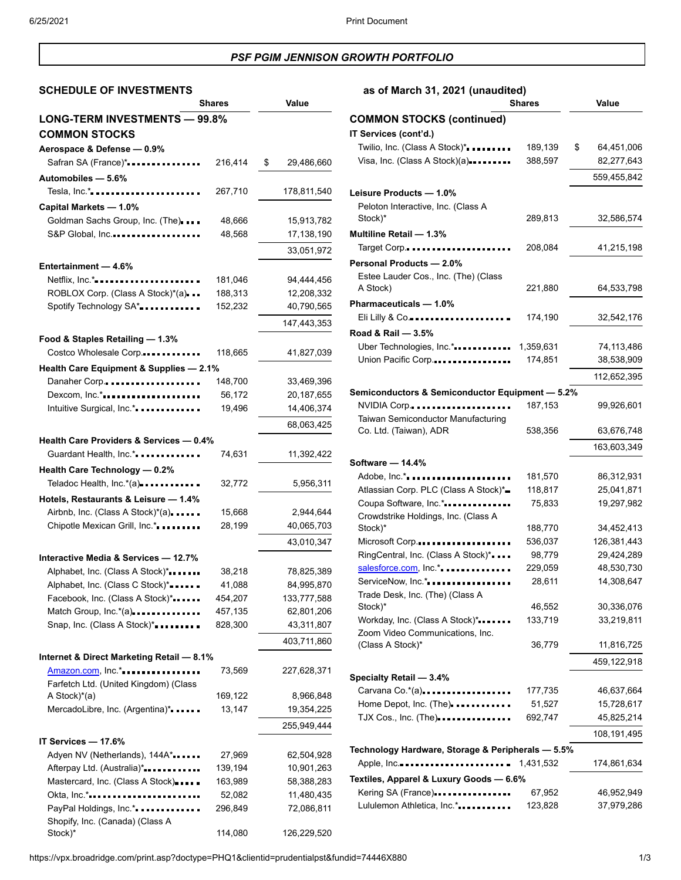## *PSF PGIM JENNISON GROWTH PORTFOLIO*

# **SCHEDULE OF INVESTMENTS as of March 31, 2021 (unaudited)**

|                                                       | <b>Shares</b> | Value            |
|-------------------------------------------------------|---------------|------------------|
| <b>LONG-TERM INVESTMENTS - 99.8%</b>                  |               |                  |
| <b>COMMON STOCKS</b>                                  |               |                  |
| Aerospace & Defense - 0.9%                            |               |                  |
| Safran SA (France)*                                   | 216,414       | \$<br>29,486,660 |
|                                                       |               |                  |
| Automobiles - 5.6%                                    |               |                  |
| Tesla, $Inc.*$                                        | 267,710       | 178,811,540      |
| Capital Markets - 1.0%                                |               |                  |
| Goldman Sachs Group, Inc. (The)                       | 48,666        | 15,913,782       |
| S&P Global, Inc                                       | 48,568        | 17,138,190       |
|                                                       |               | 33,051,972       |
| Entertainment - 4.6%                                  |               |                  |
| Netflix, Inc.*                                        | 181,046       | 94,444,456       |
| ROBLOX Corp. (Class A Stock)*(a)                      | 188,313       | 12,208,332       |
| Spotify Technology SA*                                | 152,232       | 40,790,565       |
|                                                       |               | 147,443,353      |
|                                                       |               |                  |
| Food & Staples Retailing - 1.3%                       |               |                  |
| Costco Wholesale Corp                                 | 118,665       | 41,827,039       |
| Health Care Equipment & Supplies - 2.1%               |               |                  |
| Danaher Corp                                          | 148,700       | 33,469,396       |
| Dexcom, Inc.*                                         | 56,172        | 20,187,655       |
| Intuitive Surgical, Inc.*.                            | 19,496        | 14,406,374       |
|                                                       |               | 68,063,425       |
| Health Care Providers & Services - 0.4%               |               |                  |
| Guardant Health, Inc.*.                               | 74,631        | 11,392,422       |
| Health Care Technology - 0.2%                         |               |                  |
|                                                       |               |                  |
| Teladoc Health, Inc.*(a)                              | 32,772        | 5,956,311        |
| Hotels, Restaurants & Leisure - 1.4%                  |               |                  |
| Airbnb, Inc. (Class A Stock)*(a)                      | 15,668        | 2,944,644        |
| Chipotle Mexican Grill, Inc.*                         | 28,199        | 40,065,703       |
|                                                       |               | 43,010,347       |
| Interactive Media & Services - 12.7%                  |               |                  |
| Alphabet, Inc. (Class A Stock)*                       | 38,218        | 78,825,389       |
| Alphabet, Inc. (Class C Stock)*                       | 41,088        | 84,995,870       |
| Facebook, Inc. (Class A Stock)*                       | 454,207       | 133,777,588      |
| Match Group, Inc.*(a)                                 | 457,135       | 62,801,206       |
| Snap, Inc. (Class A Stock)*                           | 828,300       | 43,311,807       |
|                                                       |               | 403,711,860      |
|                                                       |               |                  |
| Internet & Direct Marketing Retail - 8.1%             |               |                  |
| Amazon.com, Inc.*                                     | 73,569        | 227,628,371      |
| Farfetch Ltd. (United Kingdom) (Class<br>A Stock)*(a) | 169,122       | 8,966,848        |
| MercadoLibre, Inc. (Argentina)*                       | 13,147        | 19,354,225       |
|                                                       |               |                  |
|                                                       |               | 255,949,444      |
| IT Services - 17.6%                                   |               |                  |
| Adyen NV (Netherlands), 144A*                         | 27,969        | 62,504,928       |
| Afterpay Ltd. (Australia)*                            | 139,194       | 10,901,263       |
| Mastercard, Inc. (Class A Stock)                      | 163,989       | 58,388,283       |
| Okta, Inc.*                                           | 52,082        | 11,480,435       |
| PayPal Holdings, Inc.*.                               | 296,849       | 72,086,811       |
| Shopify, Inc. (Canada) (Class A                       |               |                  |
| Stock)*                                               | 114,080       | 126,229,520      |

| .<br><b>Shares</b>                                | Value     |                  |
|---------------------------------------------------|-----------|------------------|
| <b>COMMON STOCKS (continued)</b>                  |           |                  |
| IT Services (cont'd.)                             |           |                  |
| Twilio, Inc. (Class A Stock)*                     | 189,139   | \$<br>64,451,006 |
| Visa, Inc. (Class A Stock) $(a)$                  | 388,597   | 82,277,643       |
|                                                   |           | 559,455,842      |
| Leisure Products - 1.0%                           |           |                  |
| Peloton Interactive, Inc. (Class A                |           |                  |
| Stock)*                                           | 289,813   | 32,586,574       |
| Multiline Retail - 1.3%                           |           |                  |
| Target Corp.                                      | 208,084   | 41,215,198       |
| Personal Products - 2.0%                          |           |                  |
| Estee Lauder Cos., Inc. (The) (Class              |           |                  |
| A Stock)                                          | 221,880   | 64,533,798       |
| Pharmaceuticals - 1.0%                            |           |                  |
| Eli Lilly & Co                                    | 174,190   | 32,542,176       |
| Road & Rail - 3.5%                                |           |                  |
| Uber Technologies, Inc.*                          | 1,359,631 | 74,113,486       |
| Union Pacific Corp                                | 174,851   | 38,538,909       |
|                                                   |           | 112,652,395      |
| Semiconductors & Semiconductor Equipment - 5.2%   |           |                  |
| NVIDIA Corp                                       | 187,153   | 99,926,601       |
| Taiwan Semiconductor Manufacturing                |           |                  |
| Co. Ltd. (Taiwan), ADR                            | 538,356   | 63,676,748       |
|                                                   |           | 163,603,349      |
| Software - 14.4%                                  |           |                  |
| Adobe, Inc.*                                      | 181,570   | 86,312,931       |
| Atlassian Corp. PLC (Class A Stock)*              | 118,817   | 25,041,871       |
| Coupa Software, Inc.*                             | 75,833    | 19,297,982       |
| Crowdstrike Holdings, Inc. (Class A               |           |                  |
| Stock)*                                           | 188,770   | 34,452,413       |
| Microsoft Corp                                    | 536,037   | 126,381,443      |
| RingCentral, Inc. (Class A Stock)*                | 98,779    | 29,424,289       |
| salesforce.com, Inc.*                             | 229,059   | 48,530,730       |
| ServiceNow, Inc.*                                 | 28,611    | 14,308,647       |
| Trade Desk, Inc. (The) (Class A<br>Stock)*        | 46,552    | 30,336,076       |
| Workday, Inc. (Class A Stock)*                    | 133,719   | 33,219,811       |
| Zoom Video Communications, Inc.                   |           |                  |
| (Class A Stock)*                                  | 36,779    | 11,816,725       |
|                                                   |           | 459,122,918      |
| Specialty Retail - 3.4%                           |           |                  |
| Carvana Co. $*(a)$                                | 177,735   | 46,637,664       |
| Home Depot, Inc. (The) <b></b>                    | 51,527    | 15,728,617       |
| TJX Cos., Inc. (The)                              | 692,747   | 45,825,214       |
|                                                   |           | 108,191,495      |
| Technology Hardware, Storage & Peripherals - 5.5% |           |                  |
| Apple, Inc                                        | 1,431,532 | 174,861,634      |
| Textiles, Apparel & Luxury Goods - 6.6%           |           |                  |
| Kering SA (France)                                | 67,952    | 46,952,949       |
| Lululemon Athletica, Inc.*                        | 123,828   | 37,979,286       |

https://vpx.broadridge.com/print.asp?doctype=PHQ1&clientid=prudentialpst&fundid=74446X880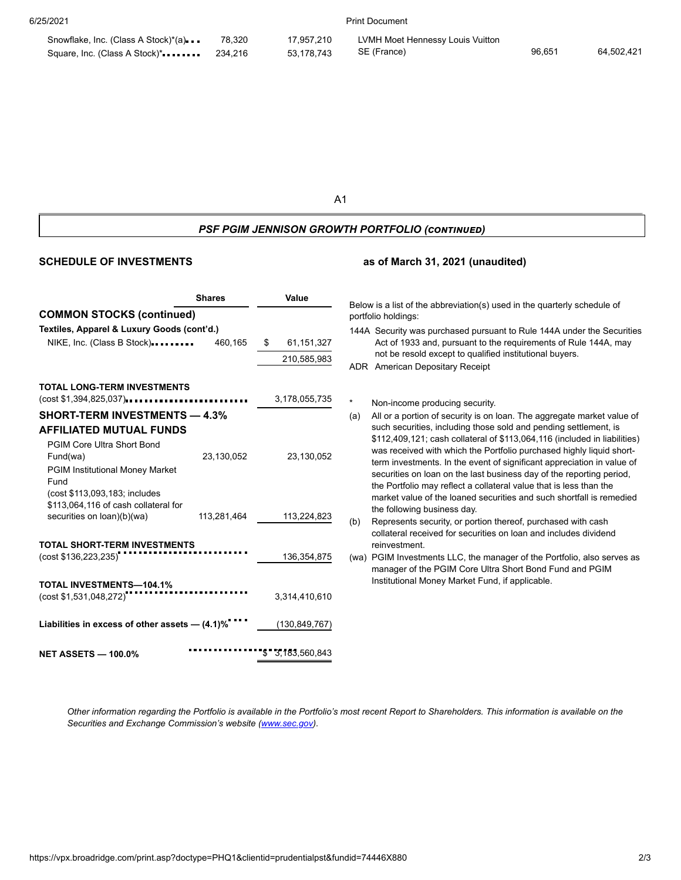6/25/2021 Print Document

| Snowflake, Inc. (Class A Stock)*(a) | 78,320 | 17,957,210 | LVMH Moet Hennessy Louis Vuitton |        |            |
|-------------------------------------|--------|------------|----------------------------------|--------|------------|
|                                     |        | 53.178.743 | SE (France)                      | 96.651 | 64.502.421 |

A1

## *PSF PGIM JENNISON GROWTH PORTFOLIO (continued)*

#### **SCHEDULE OF INVESTMENTS as of March 31, 2021 (unaudited)**

|                                                                                                                                                                                                     | <b>Shares</b> | Value                                                                                                                                                                                                                                                                            | Below is a list of the abbreviation(s) used in the quarterly schedule of                                                                                                                                                                                                                                                                                                                                                                                                         |  |  |
|-----------------------------------------------------------------------------------------------------------------------------------------------------------------------------------------------------|---------------|----------------------------------------------------------------------------------------------------------------------------------------------------------------------------------------------------------------------------------------------------------------------------------|----------------------------------------------------------------------------------------------------------------------------------------------------------------------------------------------------------------------------------------------------------------------------------------------------------------------------------------------------------------------------------------------------------------------------------------------------------------------------------|--|--|
| <b>COMMON STOCKS (continued)</b>                                                                                                                                                                    |               |                                                                                                                                                                                                                                                                                  | portfolio holdings:                                                                                                                                                                                                                                                                                                                                                                                                                                                              |  |  |
| Textiles, Apparel & Luxury Goods (cont'd.)<br>NIKE, Inc. (Class B Stock)                                                                                                                            | 460,165       | 144A Security was purchased pursuant to Rule 144A under the Securities<br>Act of 1933 and, pursuant to the requirements of Rule 144A, may<br>61,151,327<br>S<br>not be resold except to qualified institutional buyers.<br>210,585,983<br><b>ADR</b> American Depositary Receipt |                                                                                                                                                                                                                                                                                                                                                                                                                                                                                  |  |  |
| <b>TOTAL LONG-TERM INVESTMENTS</b><br>$(\cos t \, \$1,394,825,037) \dots \dots \dots \dots \dots \dots \dots \dots \dots$<br><b>SHORT-TERM INVESTMENTS - 4.3%</b><br><b>AFFILIATED MUTUAL FUNDS</b> |               | 3,178,055,735                                                                                                                                                                                                                                                                    | *<br>Non-income producing security.<br>All or a portion of security is on loan. The aggregate market value of<br>(a)<br>such securities, including those sold and pending settlement, is                                                                                                                                                                                                                                                                                         |  |  |
| <b>PGIM Core Ultra Short Bond</b><br>Fund(wa)<br><b>PGIM Institutional Money Market</b><br>Fund<br>(cost \$113,093,183; includes<br>\$113,064,116 of cash collateral for                            | 23,130,052    | 23,130,052                                                                                                                                                                                                                                                                       | \$112,409,121; cash collateral of \$113,064,116 (included in liabilities)<br>was received with which the Portfolio purchased highly liquid short-<br>term investments. In the event of significant appreciation in value of<br>securities on loan on the last business day of the reporting period,<br>the Portfolio may reflect a collateral value that is less than the<br>market value of the loaned securities and such shortfall is remedied<br>the following business day. |  |  |
| securities on loan)(b)(wa)                                                                                                                                                                          | 113,281,464   | 113,224,823                                                                                                                                                                                                                                                                      | Represents security, or portion thereof, purchased with cash<br>(b)                                                                                                                                                                                                                                                                                                                                                                                                              |  |  |
| TOTAL SHORT-TERM INVESTMENTS<br>(cost \$136,223,235)                                                                                                                                                |               | 136,354,875                                                                                                                                                                                                                                                                      | collateral received for securities on loan and includes dividend<br>reinvestment.<br>(wa) PGIM Investments LLC, the manager of the Portfolio, also serves as<br>manager of the PGIM Core Ultra Short Bond Fund and PGIM                                                                                                                                                                                                                                                          |  |  |
| <b>TOTAL INVESTMENTS-104.1%</b><br>(cost \$1,531,048,272)                                                                                                                                           |               | 3,314,410,610                                                                                                                                                                                                                                                                    | Institutional Money Market Fund, if applicable.                                                                                                                                                                                                                                                                                                                                                                                                                                  |  |  |
| Liabilities in excess of other assets - (4.1)%                                                                                                                                                      |               | (130, 849, 767)                                                                                                                                                                                                                                                                  |                                                                                                                                                                                                                                                                                                                                                                                                                                                                                  |  |  |
| <b>NET ASSETS - 100.0%</b>                                                                                                                                                                          |               | \$3,183,560,843                                                                                                                                                                                                                                                                  |                                                                                                                                                                                                                                                                                                                                                                                                                                                                                  |  |  |

Other information regarding the Portfolio is available in the Portfolio's most recent Report to Shareholders. This information is available on the *Securities and Exchange Commission's website ([www.sec.gov\)](https://www.sec.gov/).*